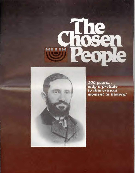

*100 years...*  **only** *a prelude to this critical moment in history!*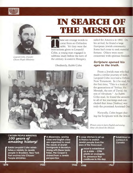



*Leopold Cohn, Founder Chosen People Ministries* 

# **IN SEARCH OF THE MESSIAH**

hese are strange words to come from an Orthodox rabbi. Yet they were the instructions given to Leopold Cohn, a young man engaged in rabbinic study before the turn of the century in eastern Hungary.

sailed for America in 1892. On his arrival, he found a large European Jewish community. Some had come to seek material fortune. Others were more concerned with spiritual freedo

#### *Scripture opened his*  Obediently, Rabbi Cohn *eyes to the truth.*

From a Jewish man who had made a similar journey of faith, . Leopold Cohn received a Hebrew New Testament. In it he read, for the first time, "This is a book of the generations of Yeshua, the Messiah, the son of David, the son of Abraham." As Rabbi Cohn read, he found the answers to all of his yearnings and concluded that Jesus (Yeshua) was truly the promised Anointed On

Naturally, Cohn began sharing the Scriptures with the Jewis



*Women came to learn English and sewing Many also fiund the Messiah.* 

### CHOSEN PEOPLE MINISTRIES *100 years of amazing history!*

Rabbi Leopold Cohn establishes a ministry to Jewish people in Brooklyn, New York that evolves into Chosen People Ministries.

A dispensary, sewing class and English class are organized to meet the needs of Jewish immigrants in Brooklyn. Along with these basic helps, the Gospel is shared from a Jewish perspective.

A soup kitchen is set up in France to snatch Jewish people from the jaws of the Holocaust.

> Israel is established as a state -- CPM plants an evangelistic presence that continues to this day.

Established an outreach in Canada

**1894 1920 1944 1948 1967**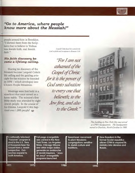## *"Go to America, where people know more about the Messiah!"*

people around him in Brooklyn. "I showed them from the Scriptures that to believe in Yeshua was Jewish faith, real Jewish faith."

#### *His faith discovery became a lifelong calling.*

Sharing his discovery of the Messiah became Leopold Cohn's life calling and the guiding principle for the mission he founded in 1894 -- which developed into Chosen People Ministries.

Meetings were first held in a storefront that once served as a horse stable. The mission's first Bible study was attended by eight Jewish people. In the course of his lifetime, Leopold Cohn baptized over 1,000 people! w

*Leopold Cohn based his work jar the Lord on finth and in response to Romans 116:* 

*Tor I am not ashamed of the*  Gospel of Christ: *for it is the power of God unto salvation to every one that believeth; to the Jew first, and also to the Greek"* 



**10** *0* **0** <u>سي</u> **40 400W**  .<br>"

*This building in New York City once served as CPM's headquarters. The headquarters moved to Charlotte, North Carolina in 1988.* 

A nationally televised "Passover" program is aired in the U.S. Tens of thousands hear the Gospel from a Jewish perspective. Outreaches expand to South America.

Full-page evangelistic ads carried in the New York Times, Los Angeles Times, Chicago Tribune and other major dailies generate an avalanche of Jewish inquirers. "Jews for Jesus" evangelistic programs launched.

Spearhead movement to plant Messianic congregations sensitive to Jewish culture and traditions.

**New freedom in the former Soviet republics allows CPM to expand its ministry into Ukraine and Russia.**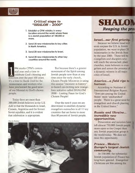

### *Critical steps to "SHALOM -- 2000"*

- **1. Establish a CPM ministry in every location around the world where there is a Jewish population of 100,000 or more.**
- **2. Send 20 new missionaries to key cities in North America.**
- **3. Send 20 new missionaries to Israel.**
- **4. Send 20 new missionaries to other key countries around the world.**

994 marks CPM's centen-<br>
nial year and a time to<br>
celebrate God's blessing and<br>
direction over the past 100 years. nial year and a time to celebrate God's blessing and It's a time to thank God for the missionaries and workers who have proclaimed the good news of our Messiah to God's chosen people.

Today there are more than 300,000 Jewish believers in the US. Add to that the thousands in Israel, Canada, Argentina and the former Soviet republics, and it is evident that celebration is appropriate.

But because there's a greater movement of the Spirit among Jewish people now than at any time since the early church, Chosen People Ministries is using this unique "moment in history" to launch an exciting new evangelism initiative called SHALOM 2000 -- Lasting Peace for God's Chosen People!

Over the next 6 years we are determined to establish dynamic evangelism outreaches in all 11 key countries that are home to more than 80 percent of Jewish people.

Photo by Blackstar





## *Israel...our first priority.*

Because we believe Israel will soon surpass the U.S. in Jewish population, we want to place 20 missionaries in the Jewish State by the year 2000. These will be evangelists and disciplers who will reach the unreached, plant churches, train believers in evangelism and assure the presence of a dynamic witness in all major cities of Israel.

#### *America...a field ripe to harvest.*

According to *National & International Religion Report,*  "Jews are among the United States' most 'unchurched' people. There is a great need for evangelism and church planting in the United States."

#### *Russia and Ukraine... incredible new opportunities.*

Persecution and isolation have left almost 750,000 Jewish people more open to the Gospel than any Jewish population group ir 1 the world today. We dare not miss this opportunity.

#### *France... Western Europe's largest Jewish community.*

At 530,000, the substantial Jewish population of France has long been ignored. Evangelical Christians are few among the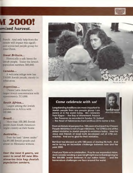**VI 2000! ornised harvest.** 

French. And only help from the outside will impact this significant unreached people group for Jesus Christ.

#### *Great Britain...*

Historically a safe haven for Jewish people. Today the Jewish population numbers 300,000.

#### *Canada...*

A welcome refuge now has 310,000 Jewish people, mostly in urban areas.

#### *Argentina...*

Claims Latin America's largest Jewish concentration with approximately 213,000.

#### *South Africa...*

Largest among the Jewish populations in Africa with 105,000.

#### *Brazil...*

More than 100,000 Jewish people claim South America's largest country as their home.

#### *Australia...*

Even the land "down under" has 89,000 Jewish people and almost no Messianic witness.

*Over the next 6 years, we want to send 60 new Missionaries into key Jewish population centers.* 



#### *Photo by Steve Burr*

#### *Come celebrate with us!*

Longstanding traditions are more important to Jewish people than any people group I am aware of in the world today. We celebrate Yom Kippur -- the Day of Atonement, Pesach

-- the Passover as recorded in Exodus 12, Sukkot

-- the Feast of Tabernacles from Leviticus 23 to name a few.

From an historical perspective, 100 years of outreach by Chosen People Ministries is not a huge milestone. Yet CPM is one of the oldest ministries to Jewish people in existence today. Jews for Jesus and Friends of Israel both developed out of CPM outreaches. And we're glad for their ministries.

But God has blessed us with 100 years of sharing His truth. And we're facing an incredible challenge between now and the year 2000.

I trust you'll join us in celebration. Pray for our expanded vision. And consider sending a special gift right now in thanksgiving for the 300,000 Jewish believers in our nation today -- and the tremendous challenges we face around the world.



Sam Nadler; Preside Chosen *People* Ministries

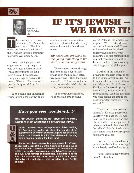



#### Scott Brown *CPM*Missionary (93)

# **IF IT'S JEWISH**  WE HAVE **IT!**

The neon sign in the win-<br>dow reads, "If it's Jewish<br>we have it." The little<br>hookstore is one of the bubs of dow reads, "If it's Jewish, we have it." The little bookstore is one of the hubs of the Orthodox Jewish community in greater Washington, D.C.

I was there trying on a kittel (a garment worn by the person who conducts a Passover seder). While buttoning up the long laced shroud, I overheard a young man urgently asking the owner, "How do I learn to interpret the Scriptures? I need to learn!"

Such a scene isn't uncommon; young Jewish people growing up

in nonreligious families often come to a place in life where they need to know what Jewishness means.

*My heart was breaking as the young man clung to the store owner's every word.* 

The two men walked through the store as the elder heaped books upon the zealously attentive young man. Then the young man asked, "How can we know He is not our Messiah?" At this point, I moved closer.

The storeowner explained, "The Messiah couldn't have

## *Have you ever wondered...?*

Why do Jewish believers not observe the same traditions most Christians do at Christmas time?



Jewish believers honor the importance of God sending His Son into the world. We share the wonder of the supernatural event that caused a virgin to conceive and bear a son by the Holy Spirit. We celebrate His coming into a humble stable in the Holy Land.

But for the sake of our people, many Messianic believers choose not to adopt the Gentile traditions that go beyond the biblical truth. Christmas trees and all the adornments the holiday season has taken on tend to build walls between us and our Jewish families and neighbors. In order to keep the lines of communication open and maintain our Jewish distinctives, it's not always wise to adopt these Gentile traditions.

come! After all, the world is not at peace. Were He the Messiah, wars would have ended!" I was saddened to hear this classic misrepresentation of Jesus's ministry. His first coming brings internal peace to every faithful believer, and His second coming will bring external global peace.

I waited in the parking lot, praying for the right words to say to this young Jewish seeker. As he opened his car, I said, "Excuse me. My name is Scott Brown. Forgive me for eavesdropping. I overheard your conversation in the bookstore. And the questions you were asking are among the most important questions a Jew can ask."

The young man introduced himself as Eric and poured out his story with passion. He was married to a Christian who said she would love him regardless of what he believed. But what did he believe? Eric felt he should at least know what he was supposed to believe as a Jew

I was so overwhelmed by the providence behind our meeting, I could barely hold back my tears.

"Eric, I have some wonderful news!" I told him.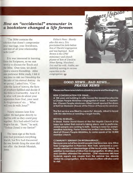## *How an "accidental" encounter in*  **a** *bookstore changed a life forever.*

"The Bible contains the solution that doesn't compromise your marriage, your Jewishness, and best of all your relationship with God!"

Eric was interested in learning from the Scriptures, so we met weekly to discuss the Torah and the Bible. Over time, we developed a sincere friendship. After one particular Bible study, I felt it was time to risk our friendship for the sake of his eternal destiny. As we parted, I asked him, "Consider the facts of history, the facts of prophecy fulfilled and decide if the Bible is trustworthy. And if it is, what will you do about your separation from God, your need for forgiveness of sin.... What will you do with Jesus?"

Ninety minutes later Eric called. He had gone directly to find his wife so they could pray together. Eric had asked God to forgive his sin. "Scott," he said, "Yeshua (Jesus) is my Savior!"

The neon sign at the bookstore had promised everything Jewish, but Eric had discovered the one Jewish thing the store did not offer: the Jewish Messiah, Jesus.

*Editor's Note: Shortly after this story, Eric proclaimed his faith before Son of David Congregation and was baptized. Scott Brown is the CPM missionary and church planter of Son of David in Silver Spring, Maryland. Eric and his wife, Aletha, are faithfully serving in various capacities in the congregation.* 



#### *GOOD NEWS...BAD NEWS... PRAYER NEWS*

Please use these news briefs as a basis for prayer and thanksgiving.

#### NEW CONGREGATION FOR ISRAEL...

A 100-year-old building in Jaffo houses the newest location for a Chosen People Ministries congregation in Israel. In September, Chosen People missionary Albert Israeli opened the doors of Beit Sar Shaloam (House of the Prince of Peace) for services.

The first service was filled to capacity! Already, Albert is faced with the dilemma of needing a larger facility.

#### REVIVAL IN BRAZIL...

In Brazil, Pastor David Klawa of the First Baptist Church of Da Lapa has noted that revival is taking place, and in particular, Jewish people are coming to faith. Seeing a need for Jewishsensitive teaching, Pastor Klawa has invited Sam Nadler, President of Chosen People Ministries, to come speak at his 12,000 member church.

#### COMMUNITY SEMINAR ON INTERMARRIAGE...

Because one out of two Jewish people marries a non-Jew, Olive Tree Congregation in Plainview, New York, sponsored a community seminar on intermarriage at the local public library. In addition to members of Olive Tree Congregation, 35 other Jews and Gentiles attended the seminar. CPM missionary Michael Rydeinik reports one couple from the seminar has already visited his congregation. And he expects others will also come to visit.